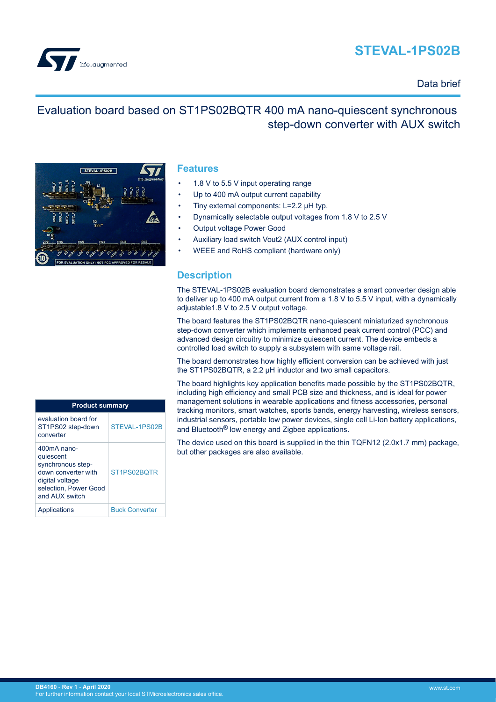# **STEVAL-1PS02B**



### Data brief

## Evaluation board based on ST1PS02BQTR 400 mA nano-quiescent synchronous step-down converter with AUX switch



#### **Features**

- 1.8 V to 5.5 V input operating range
- Up to 400 mA output current capability
- Tiny external components: L=2.2 µH typ.
- Dynamically selectable output voltages from 1.8 V to 2.5 V
- Output voltage Power Good
- Auxiliary load switch Vout2 (AUX control input)
- WEEE and RoHS compliant (hardware only)

### **Description**

The STEVAL-1PS02B evaluation board demonstrates a smart converter design able to deliver up to 400 mA output current from a 1.8 V to 5.5 V input, with a dynamically adjustable1.8 V to 2.5 V output voltage.

The board features the ST1PS02BQTR nano-quiescent miniaturized synchronous step-down converter which implements enhanced peak current control (PCC) and advanced design circuitry to minimize quiescent current. The device embeds a controlled load switch to supply a subsystem with same voltage rail.

The board demonstrates how highly efficient conversion can be achieved with just the ST1PS02BQTR, a 2.2 µH inductor and two small capacitors.

The board highlights key application benefits made possible by the ST1PS02BQTR, including high efficiency and small PCB size and thickness, and is ideal for power management solutions in wearable applications and fitness accessories, personal tracking monitors, smart watches, sports bands, energy harvesting, wireless sensors, industrial sensors, portable low power devices, single cell Li-Ion battery applications, and Bluetooth® low energy and Zigbee applications.

The device used on this board is supplied in the thin TQFN12 (2.0x1.7 mm) package, but other packages are also available.

| <b>Product summary</b>                                                                                                               |                       |
|--------------------------------------------------------------------------------------------------------------------------------------|-----------------------|
| evaluation board for<br>ST1PS02 step-down<br>converter                                                                               | STEVAL-1PS02B         |
| $400mA$ nano-<br>quiescent<br>synchronous step-<br>down converter with<br>digital voltage<br>selection, Power Good<br>and AUX switch | ST1PS02BOTR           |
| Applications                                                                                                                         | <b>Buck Converter</b> |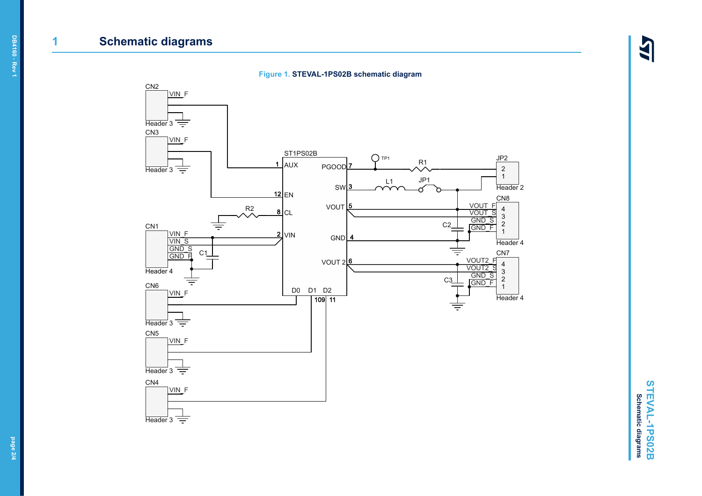### **1 Schematic diagrams**

ILS





**STEVAL-1PS02B STEVAL-1PS02B Schematic diagrams Schematic diagrams**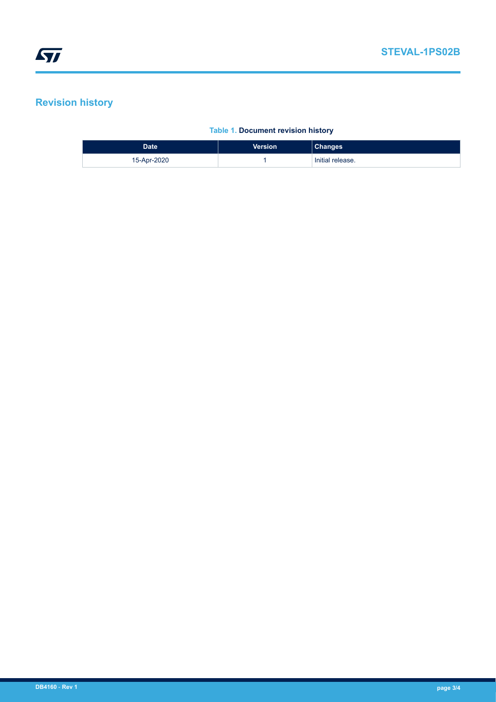### **Revision history**

#### **Table 1. Document revision history**

| Date <sup>'</sup> | Version | <b>Changes</b>   |
|-------------------|---------|------------------|
| 15-Apr-2020       |         | Initial release. |